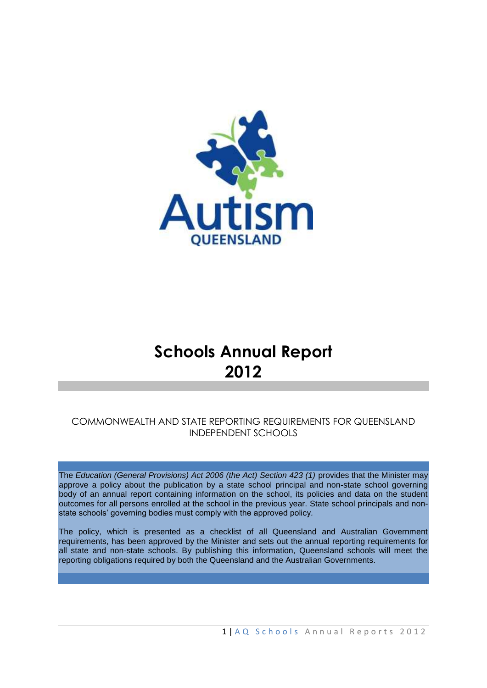

# **Schools Annual Report 2012**

## COMMONWEALTH AND STATE REPORTING REQUIREMENTS FOR QUEENSLAND INDEPENDENT SCHOOLS

The *Education (General Provisions) Act 2006 (the Act) Section 423 (1)* provides that the Minister may approve a policy about the publication by a state school principal and non-state school governing body of an annual report containing information on the school, its policies and data on the student outcomes for all persons enrolled at the school in the previous year. State school principals and nonstate schools' governing bodies must comply with the approved policy*.* 

The policy, which is presented as a checklist of all Queensland and Australian Government requirements, has been approved by the Minister and sets out the annual reporting requirements for all state and non-state schools. By publishing this information, Queensland schools will meet the reporting obligations required by both the Queensland and the Australian Governments.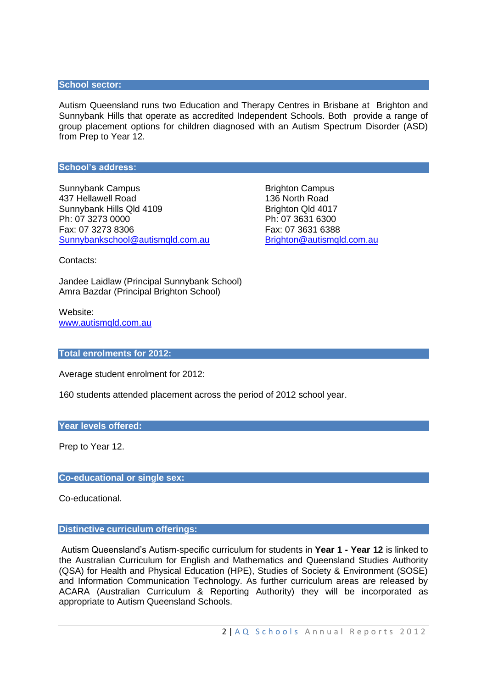#### **School sector:**

Autism Queensland runs two Education and Therapy Centres in Brisbane at Brighton and Sunnybank Hills that operate as accredited Independent Schools. Both provide a range of group placement options for children diagnosed with an Autism Spectrum Disorder (ASD) from Prep to Year 12.

#### **School's address:**

Sunnybank Campus **Brighton Campus** Brighton Campus 437 Hellawell Road 136 North Road Sunnybank Hills Qld 4109 Brighton Qld 4017 Ph: 07 3273 0000 Ph: 07 3631 6300 Fax: 07 3273 8306 Fax: 07 3631 6388 [Sunnybankschool@autismqld.com.au](mailto:Sunnybankschool@autismqld.com.au) [Brighton@autismqld.com.au](mailto:Brighton@autismqld.com.au)

Contacts:

Jandee Laidlaw (Principal Sunnybank School) Amra Bazdar (Principal Brighton School)

Website: [www.autismqld.com.au](http://www.autismqld.com.au/)

#### **Total enrolments for 2012:**

Average student enrolment for 2012:

160 students attended placement across the period of 2012 school year.

#### **Year levels offered:**

Prep to Year 12.

#### **Co-educational or single sex:**

Co-educational.

#### **Distinctive curriculum offerings:**

Autism Queensland's Autism-specific curriculum for students in **Year 1 - Year 12** is linked to the Australian Curriculum for English and Mathematics and Queensland Studies Authority (QSA) for Health and Physical Education (HPE), Studies of Society & Environment (SOSE) and Information Communication Technology. As further curriculum areas are released by ACARA (Australian Curriculum & Reporting Authority) they will be incorporated as appropriate to Autism Queensland Schools.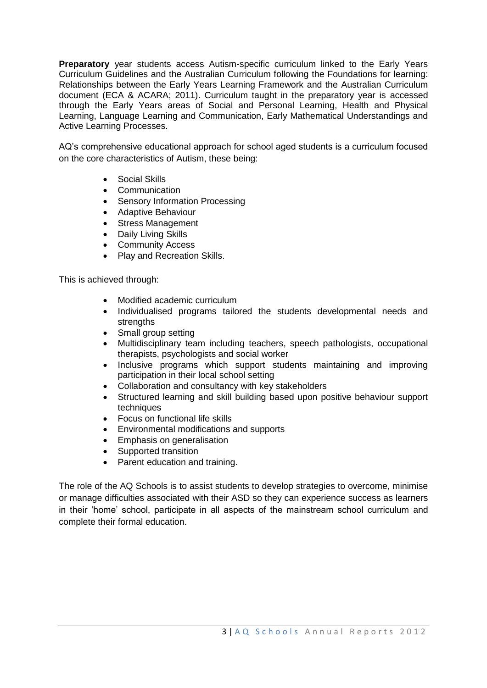**Preparatory** year students access Autism-specific curriculum linked to the Early Years Curriculum Guidelines and the Australian Curriculum following the Foundations for learning: Relationships between the Early Years Learning Framework and the Australian Curriculum document (ECA & ACARA; 2011). Curriculum taught in the preparatory year is accessed through the Early Years areas of Social and Personal Learning, Health and Physical Learning, Language Learning and Communication, Early Mathematical Understandings and Active Learning Processes.

AQ's comprehensive educational approach for school aged students is a curriculum focused on the core characteristics of Autism, these being:

- Social Skills
- Communication
- Sensory Information Processing
- Adaptive Behaviour
- Stress Management
- Daily Living Skills
- Community Access
- Play and Recreation Skills.

This is achieved through:

- Modified academic curriculum
- Individualised programs tailored the students developmental needs and strengths
- Small group setting
- Multidisciplinary team including teachers, speech pathologists, occupational therapists, psychologists and social worker
- Inclusive programs which support students maintaining and improving participation in their local school setting
- Collaboration and consultancy with key stakeholders
- Structured learning and skill building based upon positive behaviour support techniques
- Focus on functional life skills
- Environmental modifications and supports
- **•** Emphasis on generalisation
- Supported transition
- Parent education and training.

The role of the AQ Schools is to assist students to develop strategies to overcome, minimise or manage difficulties associated with their ASD so they can experience success as learners in their 'home' school, participate in all aspects of the mainstream school curriculum and complete their formal education.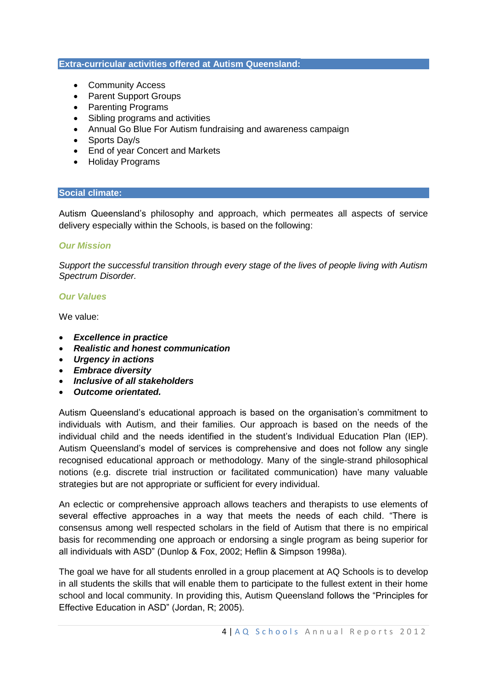#### **Extra-curricular activities offered at Autism Queensland:**

- Community Access
- Parent Support Groups
- Parenting Programs
- Sibling programs and activities
- Annual Go Blue For Autism fundraising and awareness campaign
- Sports Day/s
- End of year Concert and Markets
- Holiday Programs

#### **Social climate:**

Autism Queensland's philosophy and approach, which permeates all aspects of service delivery especially within the Schools, is based on the following:

## *Our Mission*

*Support the successful transition through every stage of the lives of people living with Autism Spectrum Disorder.*

## *Our Values*

We value:

- *Excellence in practice*
- *Realistic and honest communication*
- *Urgency in actions*
- *Embrace diversity*
- *Inclusive of all stakeholders*
- *Outcome orientated.*

Autism Queensland's educational approach is based on the organisation's commitment to individuals with Autism, and their families. Our approach is based on the needs of the individual child and the needs identified in the student's Individual Education Plan (IEP). Autism Queensland's model of services is comprehensive and does not follow any single recognised educational approach or methodology. Many of the single-strand philosophical notions (e.g. discrete trial instruction or facilitated communication) have many valuable strategies but are not appropriate or sufficient for every individual.

An eclectic or comprehensive approach allows teachers and therapists to use elements of several effective approaches in a way that meets the needs of each child. "There is consensus among well respected scholars in the field of Autism that there is no empirical basis for recommending one approach or endorsing a single program as being superior for all individuals with ASD" (Dunlop & Fox, 2002; Heflin & Simpson 1998a).

The goal we have for all students enrolled in a group placement at AQ Schools is to develop in all students the skills that will enable them to participate to the fullest extent in their home school and local community. In providing this, Autism Queensland follows the "Principles for Effective Education in ASD" (Jordan, R; 2005).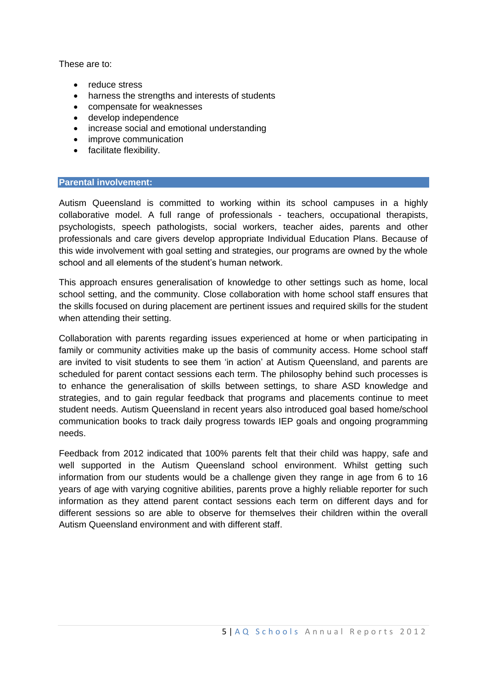These are to:

- reduce stress
- harness the strengths and interests of students
- compensate for weaknesses
- develop independence
- increase social and emotional understanding
- improve communication
- facilitate flexibility.

## **Parental involvement:**

Autism Queensland is committed to working within its school campuses in a highly collaborative model. A full range of professionals - teachers, occupational therapists, psychologists, speech pathologists, social workers, teacher aides, parents and other professionals and care givers develop appropriate Individual Education Plans. Because of this wide involvement with goal setting and strategies, our programs are owned by the whole school and all elements of the student's human network.

This approach ensures generalisation of knowledge to other settings such as home, local school setting, and the community. Close collaboration with home school staff ensures that the skills focused on during placement are pertinent issues and required skills for the student when attending their setting.

Collaboration with parents regarding issues experienced at home or when participating in family or community activities make up the basis of community access. Home school staff are invited to visit students to see them 'in action' at Autism Queensland, and parents are scheduled for parent contact sessions each term. The philosophy behind such processes is to enhance the generalisation of skills between settings, to share ASD knowledge and strategies, and to gain regular feedback that programs and placements continue to meet student needs. Autism Queensland in recent years also introduced goal based home/school communication books to track daily progress towards IEP goals and ongoing programming needs.

Feedback from 2012 indicated that 100% parents felt that their child was happy, safe and well supported in the Autism Queensland school environment. Whilst getting such information from our students would be a challenge given they range in age from 6 to 16 years of age with varying cognitive abilities, parents prove a highly reliable reporter for such information as they attend parent contact sessions each term on different days and for different sessions so are able to observe for themselves their children within the overall Autism Queensland environment and with different staff.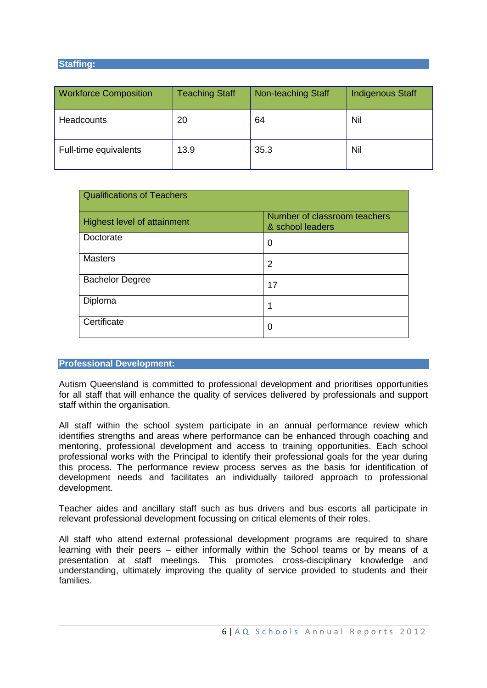### **Staffing:**

| <b>Workforce Composition</b> | <b>Teaching Staff</b> | Non-teaching Staff | <b>Indigenous Staff</b> |
|------------------------------|-----------------------|--------------------|-------------------------|
| <b>Headcounts</b>            | 20                    | 64                 | Nil                     |
| Full-time equivalents        | 13.9                  | 35.3               | Nil                     |

| <b>Qualifications of Teachers</b> |                                                  |  |  |
|-----------------------------------|--------------------------------------------------|--|--|
| Highest level of attainment       | Number of classroom teachers<br>& school leaders |  |  |
| Doctorate                         | 0                                                |  |  |
| <b>Masters</b>                    | 2                                                |  |  |
| <b>Bachelor Degree</b>            | 17                                               |  |  |
| Diploma                           | 1                                                |  |  |
| Certificate                       | 0                                                |  |  |

## **Professional Development:**

Autism Queensland is committed to professional development and prioritises opportunities for all staff that will enhance the quality of services delivered by professionals and support staff within the organisation.

All staff within the school system participate in an annual performance review which identifies strengths and areas where performance can be enhanced through coaching and mentoring, professional development and access to training opportunities. Each school professional works with the Principal to identify their professional goals for the year during this process. The performance review process serves as the basis for identification of development needs and facilitates an individually tailored approach to professional development.

Teacher aides and ancillary staff such as bus drivers and bus escorts all participate in relevant professional development focussing on critical elements of their roles.

All staff who attend external professional development programs are required to share learning with their peers – either informally within the School teams or by means of a presentation at staff meetings. This promotes cross-disciplinary knowledge and understanding, ultimately improving the quality of service provided to students and their families.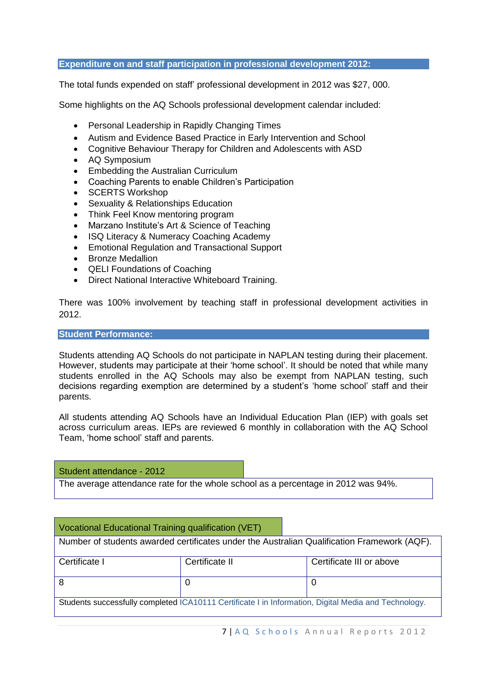#### **Expenditure on and staff participation in professional development 2012:**

The total funds expended on staff' professional development in 2012 was \$27, 000.

Some highlights on the AQ Schools professional development calendar included:

- Personal Leadership in Rapidly Changing Times
- Autism and Evidence Based Practice in Early Intervention and School
- Cognitive Behaviour Therapy for Children and Adolescents with ASD
- AQ Symposium
- Embedding the Australian Curriculum
- Coaching Parents to enable Children's Participation
- SCERTS Workshop
- Sexuality & Relationships Education
- Think Feel Know mentoring program
- Marzano Institute's Art & Science of Teaching
- ISQ Literacy & Numeracy Coaching Academy
- Emotional Regulation and Transactional Support
- Bronze Medallion
- QELI Foundations of Coaching
- Direct National Interactive Whiteboard Training.

There was 100% involvement by teaching staff in professional development activities in 2012.

#### **Student Performance:**

Students attending AQ Schools do not participate in NAPLAN testing during their placement. However, students may participate at their 'home school'. It should be noted that while many students enrolled in the AQ Schools may also be exempt from NAPLAN testing, such decisions regarding exemption are determined by a student's 'home school' staff and their parents.

All students attending AQ Schools have an Individual Education Plan (IEP) with goals set across curriculum areas. IEPs are reviewed 6 monthly in collaboration with the AQ School Team, 'home school' staff and parents.

Student attendance - 2012

The average attendance rate for the whole school as a percentage in 2012 was 94%.

Vocational Educational Training qualification (VET) Number of students awarded certificates under the Australian Qualification Framework (AQF). Certificate I Certificate II Certificate III or above 8 0 0 Students successfully completed ICA10111 Certificate I in Information, Digital Media and Technology.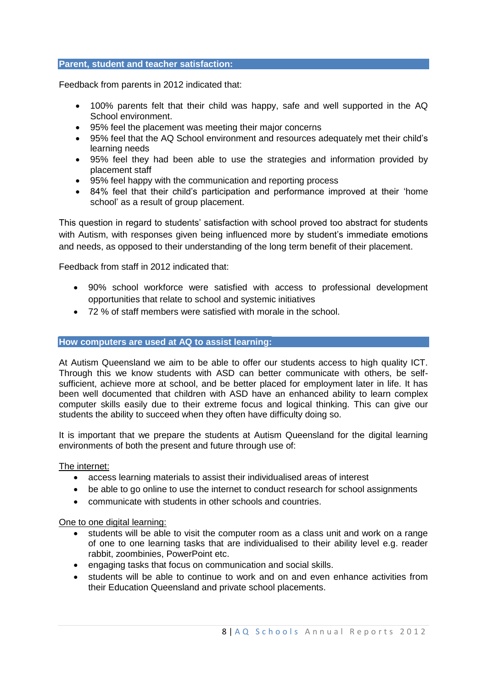#### **Parent, student and teacher satisfaction:**

Feedback from parents in 2012 indicated that:

- 100% parents felt that their child was happy, safe and well supported in the AQ School environment.
- 95% feel the placement was meeting their major concerns
- 95% feel that the AQ School environment and resources adequately met their child's learning needs
- 95% feel they had been able to use the strategies and information provided by placement staff
- 95% feel happy with the communication and reporting process
- 84% feel that their child's participation and performance improved at their 'home school' as a result of group placement.

This question in regard to students' satisfaction with school proved too abstract for students with Autism, with responses given being influenced more by student's immediate emotions and needs, as opposed to their understanding of the long term benefit of their placement.

Feedback from staff in 2012 indicated that:

- 90% school workforce were satisfied with access to professional development opportunities that relate to school and systemic initiatives
- 72 % of staff members were satisfied with morale in the school.

#### **How computers are used at AQ to assist learning:**

At Autism Queensland we aim to be able to offer our students access to high quality ICT. Through this we know students with ASD can better communicate with others, be selfsufficient, achieve more at school, and be better placed for employment later in life. It has been well documented that children with ASD have an enhanced ability to learn complex computer skills easily due to their extreme focus and logical thinking. This can give our students the ability to succeed when they often have difficulty doing so.

It is important that we prepare the students at Autism Queensland for the digital learning environments of both the present and future through use of:

## The internet:

- access learning materials to assist their individualised areas of interest
- be able to go online to use the internet to conduct research for school assignments
- communicate with students in other schools and countries.

## One to one digital learning:

- students will be able to visit the computer room as a class unit and work on a range of one to one learning tasks that are individualised to their ability level e.g. reader rabbit, zoombinies, PowerPoint etc.
- engaging tasks that focus on communication and social skills.
- students will be able to continue to work and on and even enhance activities from their Education Queensland and private school placements.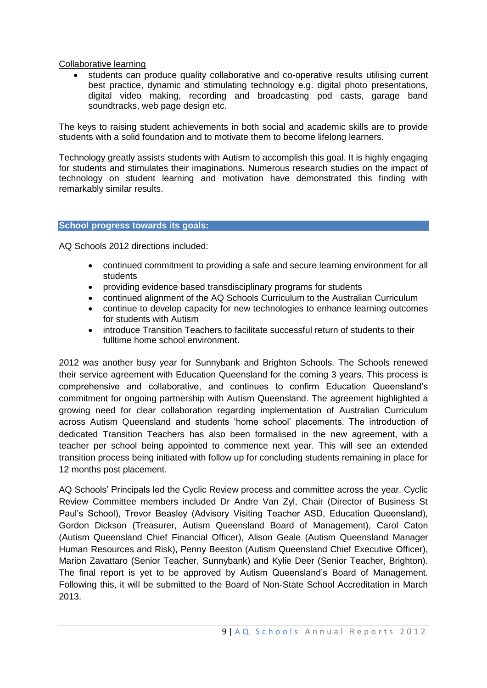Collaborative learning

 students can produce quality collaborative and co-operative results utilising current best practice, dynamic and stimulating technology e.g. digital photo presentations, digital video making, recording and broadcasting pod casts, garage band soundtracks, web page design etc.

The keys to raising student achievements in both social and academic skills are to provide students with a solid foundation and to motivate them to become lifelong learners.

Technology greatly assists students with Autism to accomplish this goal. It is highly engaging for students and stimulates their imaginations. Numerous research studies on the impact of technology on student learning and motivation have demonstrated this finding with remarkably similar results.

#### **School progress towards its goals:**

AQ Schools 2012 directions included:

- continued commitment to providing a safe and secure learning environment for all students
- providing evidence based transdisciplinary programs for students
- continued alignment of the AQ Schools Curriculum to the Australian Curriculum
- continue to develop capacity for new technologies to enhance learning outcomes for students with Autism
- introduce Transition Teachers to facilitate successful return of students to their fulltime home school environment.

2012 was another busy year for Sunnybank and Brighton Schools. The Schools renewed their service agreement with Education Queensland for the coming 3 years. This process is comprehensive and collaborative, and continues to confirm Education Queensland's commitment for ongoing partnership with Autism Queensland. The agreement highlighted a growing need for clear collaboration regarding implementation of Australian Curriculum across Autism Queensland and students 'home school' placements. The introduction of dedicated Transition Teachers has also been formalised in the new agreement, with a teacher per school being appointed to commence next year. This will see an extended transition process being initiated with follow up for concluding students remaining in place for 12 months post placement.

AQ Schools' Principals led the Cyclic Review process and committee across the year. Cyclic Review Committee members included Dr Andre Van Zyl, Chair (Director of Business St Paul's School), Trevor Beasley (Advisory Visiting Teacher ASD, Education Queensland), Gordon Dickson (Treasurer, Autism Queensland Board of Management), Carol Caton (Autism Queensland Chief Financial Officer), Alison Geale (Autism Queensland Manager Human Resources and Risk), Penny Beeston (Autism Queensland Chief Executive Officer), Marion Zavattaro (Senior Teacher, Sunnybank) and Kylie Deer (Senior Teacher, Brighton). The final report is yet to be approved by Autism Queensland's Board of Management. Following this, it will be submitted to the Board of Non-State School Accreditation in March 2013.